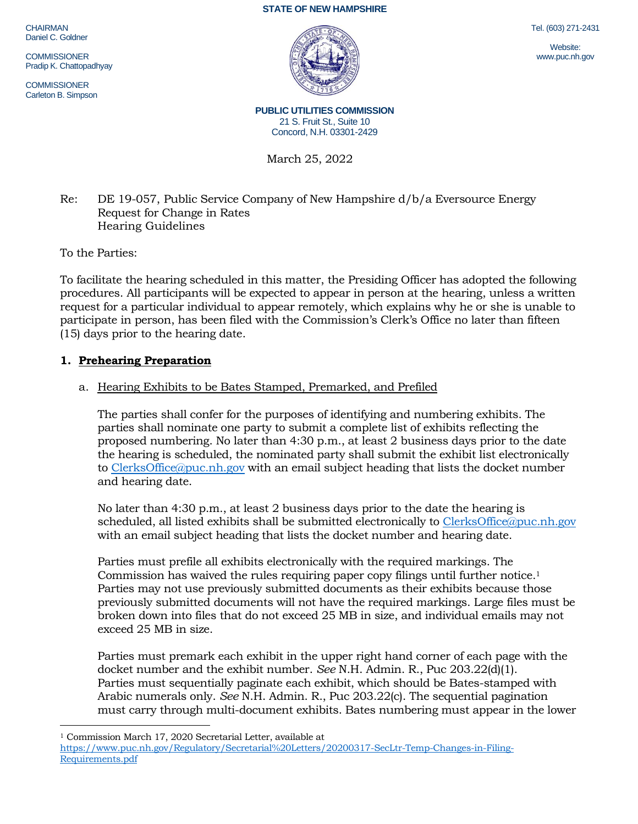**CHAIRMAN** Daniel C. Goldner

**COMMISSIONER** Pradip K. Chattopadhyay

**COMMISSIONER** Carleton B. Simpson



Tel. (603) 271-2431

Website: www.puc.nh.gov

**PUBLIC UTILITIES COMMISSION** 21 S. Fruit St., Suite 10 Concord, N.H. 03301-2429

March 25, 2022

# Re: DE 19-057, Public Service Company of New Hampshire d/b/a Eversource Energy Request for Change in Rates Hearing Guidelines

To the Parties:

To facilitate the hearing scheduled in this matter, the Presiding Officer has adopted the following procedures. All participants will be expected to appear in person at the hearing, unless a written request for a particular individual to appear remotely, which explains why he or she is unable to participate in person, has been filed with the Commission's Clerk's Office no later than fifteen (15) days prior to the hearing date.

# **1. Prehearing Preparation**

# a. Hearing Exhibits to be Bates Stamped, Premarked, and Prefiled

The parties shall confer for the purposes of identifying and numbering exhibits. The parties shall nominate one party to submit a complete list of exhibits reflecting the proposed numbering. No later than 4:30 p.m., at least 2 business days prior to the date the hearing is scheduled, the nominated party shall submit the exhibit list electronically to [ClerksOffice@puc.nh.gov](mailto:ClerksOffice@puc.nh.gov) with an email subject heading that lists the docket number and hearing date.

No later than 4:30 p.m., at least 2 business days prior to the date the hearing is scheduled, all listed exhibits shall be submitted electronically to [ClerksOffice@puc.nh.gov](mailto:Clerks.Office@puc.nh.gov) with an email subject heading that lists the docket number and hearing date.

Parties must prefile all exhibits electronically with the required markings. The Commission has waived the rules requiring paper copy filings until further notice. 1 Parties may not use previously submitted documents as their exhibits because those previously submitted documents will not have the required markings. Large files must be broken down into files that do not exceed 25 MB in size, and individual emails may not exceed 25 MB in size.

Parties must premark each exhibit in the upper right hand corner of each page with the docket number and the exhibit number. *See* N.H. Admin. R., Puc 203.22(d)(1). Parties must sequentially paginate each exhibit, which should be Bates-stamped with Arabic numerals only. *See* N.H. Admin. R., Puc 203.22(c). The sequential pagination must carry through multi-document exhibits. Bates numbering must appear in the lower

<sup>1</sup> Commission March 17, 2020 Secretarial Letter, available at

[https://www.puc.nh.gov/Regulatory/Secretarial%20Letters/20200317-SecLtr-Temp-Changes-in-Filing-](https://www.puc.nh.gov/Regulatory/Secretarial%20Letters/20200317-SecLtr-Temp-Changes-in-Filing-Requirements.pdf)[Requirements.pdf](https://www.puc.nh.gov/Regulatory/Secretarial%20Letters/20200317-SecLtr-Temp-Changes-in-Filing-Requirements.pdf)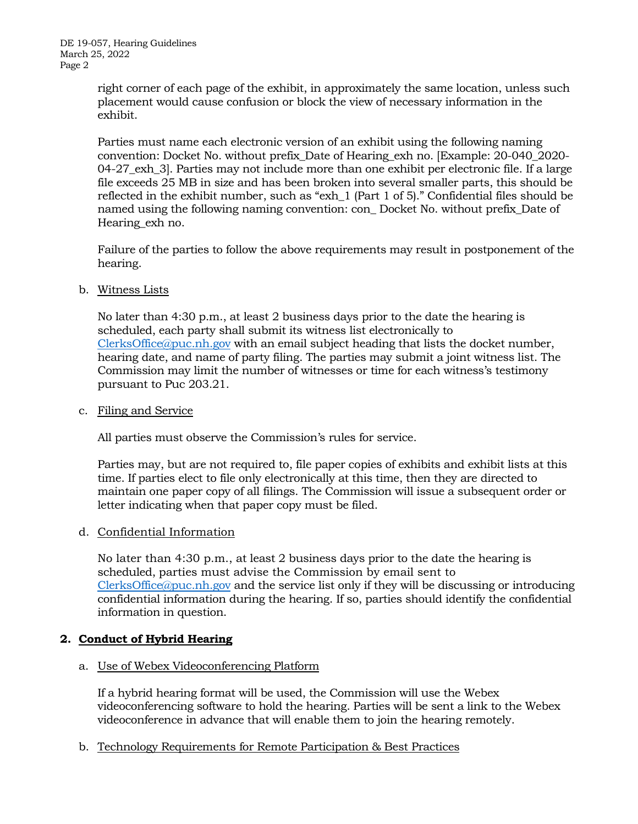right corner of each page of the exhibit, in approximately the same location, unless such placement would cause confusion or block the view of necessary information in the exhibit.

Parties must name each electronic version of an exhibit using the following naming convention: Docket No. without prefix\_Date of Hearing\_exh no. [Example: 20-040\_2020- 04-27\_exh\_3]. Parties may not include more than one exhibit per electronic file. If a large file exceeds 25 MB in size and has been broken into several smaller parts, this should be reflected in the exhibit number, such as "exh\_1 (Part 1 of 5)." Confidential files should be named using the following naming convention: con\_ Docket No. without prefix\_Date of Hearing\_exh no.

Failure of the parties to follow the above requirements may result in postponement of the hearing.

### b. Witness Lists

No later than 4:30 p.m., at least 2 business days prior to the date the hearing is scheduled, each party shall submit its witness list electronically to  $ClerksOffice@puc.nb$ , gov with an email subject heading that lists the docket number, hearing date, and name of party filing. The parties may submit a joint witness list. The Commission may limit the number of witnesses or time for each witness's testimony pursuant to Puc 203.21.

#### c. Filing and Service

All parties must observe the Commission's rules for service.

Parties may, but are not required to, file paper copies of exhibits and exhibit lists at this time. If parties elect to file only electronically at this time, then they are directed to maintain one paper copy of all filings. The Commission will issue a subsequent order or letter indicating when that paper copy must be filed.

#### d. Confidential Information

No later than 4:30 p.m., at least 2 business days prior to the date the hearing is scheduled, parties must advise the Commission by email sent to  $ClerksOffice@puc.nh.gov$  and the service list only if they will be discussing or introducing confidential information during the hearing. If so, parties should identify the confidential information in question.

## **2. Conduct of Hybrid Hearing**

#### a. Use of Webex Videoconferencing Platform

If a hybrid hearing format will be used, the Commission will use the Webex videoconferencing software to hold the hearing. Parties will be sent a link to the Webex videoconference in advance that will enable them to join the hearing remotely.

b. Technology Requirements for Remote Participation & Best Practices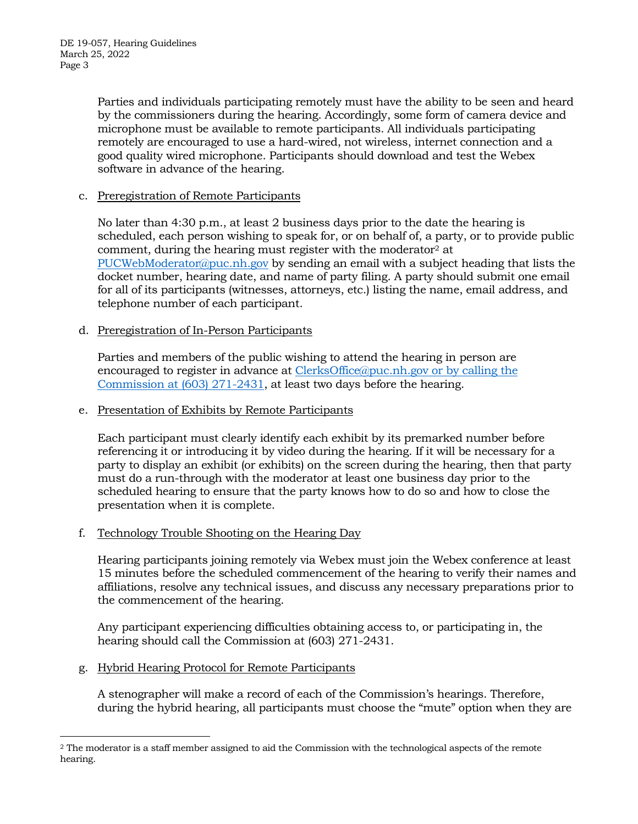Parties and individuals participating remotely must have the ability to be seen and heard by the commissioners during the hearing. Accordingly, some form of camera device and microphone must be available to remote participants. All individuals participating remotely are encouraged to use a hard-wired, not wireless, internet connection and a good quality wired microphone. Participants should download and test the Webex software in advance of the hearing.

## c. Preregistration of Remote Participants

No later than 4:30 p.m., at least 2 business days prior to the date the hearing is scheduled, each person wishing to speak for, or on behalf of, a party, or to provide public comment, during the hearing must register with the moderator<sup>2</sup> at [PUCWebModerator@puc.nh.gov](mailto:PUCWebModerator@puc.nh.gov) by sending an email with a subject heading that lists the docket number, hearing date, and name of party filing. A party should submit one email for all of its participants (witnesses, attorneys, etc.) listing the name, email address, and telephone number of each participant.

# d. Preregistration of In-Person Participants

Parties and members of the public wishing to attend the hearing in person are encouraged to register in advance at [ClerksOffice@puc.nh.gov](mailto:Clerks.Office@puc.nh.gov) or by calling the Commission at (603) 271-2431, at least two days before the hearing.

### e. Presentation of Exhibits by Remote Participants

Each participant must clearly identify each exhibit by its premarked number before referencing it or introducing it by video during the hearing. If it will be necessary for a party to display an exhibit (or exhibits) on the screen during the hearing, then that party must do a run-through with the moderator at least one business day prior to the scheduled hearing to ensure that the party knows how to do so and how to close the presentation when it is complete.

## f. Technology Trouble Shooting on the Hearing Day

Hearing participants joining remotely via Webex must join the Webex conference at least 15 minutes before the scheduled commencement of the hearing to verify their names and affiliations, resolve any technical issues, and discuss any necessary preparations prior to the commencement of the hearing.

Any participant experiencing difficulties obtaining access to, or participating in, the hearing should call the Commission at (603) 271-2431.

## g. Hybrid Hearing Protocol for Remote Participants

A stenographer will make a record of each of the Commission's hearings. Therefore, during the hybrid hearing, all participants must choose the "mute" option when they are

<sup>2</sup> The moderator is a staff member assigned to aid the Commission with the technological aspects of the remote hearing.